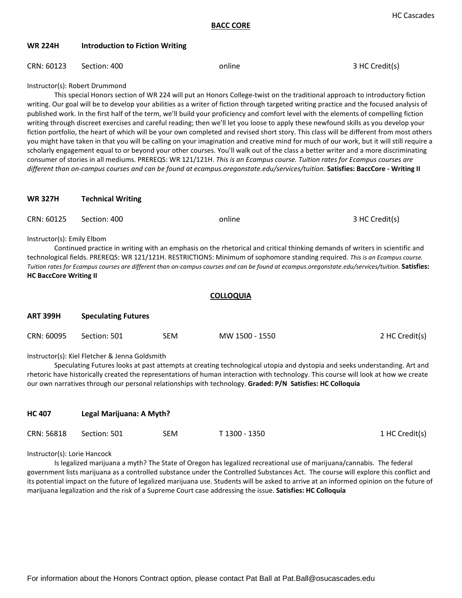## **WR 224H Introduction to Fiction Writing**

## CRN: 60123 Section: 400 **online** and *Section: 400* online 3 HC Credit(s)

Instructor(s): Robert Drummond

This special Honors section of WR 224 will put an Honors College-twist on the traditional approach to introductory fiction writing. Our goal will be to develop your abilities as a writer of fiction through targeted writing practice and the focused analysis of published work. In the first half of the term, we'll build your proficiency and comfort level with the elements of compelling fiction writing through discreet exercises and careful reading; then we'll let you loose to apply these newfound skills as you develop your fiction portfolio, the heart of which will be your own completed and revised short story. This class will be different from most others you might have taken in that you will be calling on your imagination and creative mind for much of our work, but it will still require a scholarly engagement equal to or beyond your other courses. You'll walk out of the class a better writer and a more discriminating consumer of stories in all mediums. PREREQS: WR 121/121H. *This is an Ecampus course. Tuition rates for Ecampus courses are different than on-campus courses and can be found at ecampus.oregonstate.edu/services/tuition.* **Satisfies: BaccCore - Writing II**

### **WR 327H Technical Writing**

| CRN: 60125                 | Section: 400 | online                                                                                                                                          | 3 HC Credit(s) |
|----------------------------|--------------|-------------------------------------------------------------------------------------------------------------------------------------------------|----------------|
| Instructor(s): Emily Elbom |              |                                                                                                                                                 |                |
|                            |              | Continued practice in writing with an emphasis on the rhetorical and critical thinking demands of writers in scientific and                     |                |
|                            |              | technological fields. PREREQS: WR 121/121H. RESTRICTIONS: Minimum of sophomore standing required. This is an Ecampus course.                    |                |
|                            |              | Tuition rates for Ecampus courses are different than on-campus courses and can be found at ecampus.oregonstate.edu/services/tuition. Satisfies: |                |

# **HC BaccCore Writing II**

### **COLLOQUIA**

| <b>ART 399H</b> | <b>Speculating Futures</b> |      |                |                |
|-----------------|----------------------------|------|----------------|----------------|
| CRN: 60095      | Section: 501               | SEM. | MW 1500 - 1550 | 2 HC Credit(s) |

#### Instructor(s): Kiel Fletcher & Jenna Goldsmith

Speculating Futures looks at past attempts at creating technological utopia and dystopia and seeks understanding. Art and rhetoric have historically created the representations of human interaction with technology. This course will look at how we create our own narratives through our personal relationships with technology. **Graded: P/N Satisfies: HC Colloquia** 

| <b>HC 407</b> | Legal Marijuana: A Myth? |     |               |                |  |
|---------------|--------------------------|-----|---------------|----------------|--|
| CRN: 56818    | Section: 501             | SEM | T 1300 - 1350 | 1 HC Credit(s) |  |

Instructor(s): Lorie Hancock

Is legalized marijuana a myth? The State of Oregon has legalized recreational use of marijuana/cannabis. The federal government lists marijuana as a controlled substance under the Controlled Substances Act. The course will explore this conflict and its potential impact on the future of legalized marijuana use. Students will be asked to arrive at an informed opinion on the future of marijuana legalization and the risk of a Supreme Court case addressing the issue. **Satisfies: HC Colloquia**